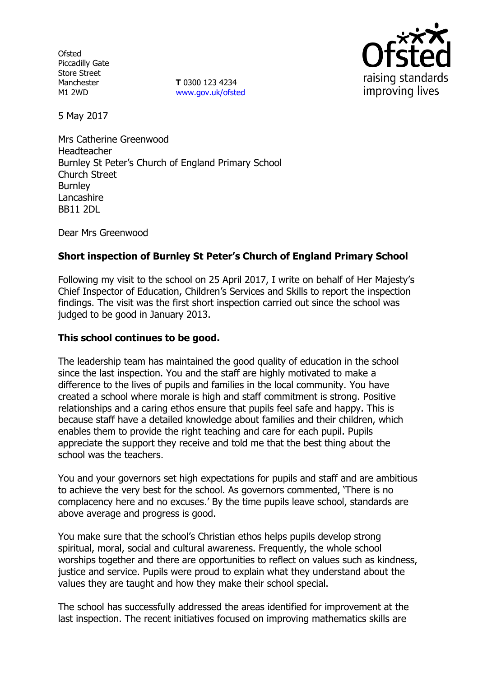**Ofsted** Piccadilly Gate Store Street Manchester M1 2WD

**T** 0300 123 4234 www.gov.uk/ofsted



5 May 2017

Mrs Catherine Greenwood Headteacher Burnley St Peter's Church of England Primary School Church Street **Burnley** Lancashire BB11 2DL

Dear Mrs Greenwood

# **Short inspection of Burnley St Peter's Church of England Primary School**

Following my visit to the school on 25 April 2017, I write on behalf of Her Majesty's Chief Inspector of Education, Children's Services and Skills to report the inspection findings. The visit was the first short inspection carried out since the school was judged to be good in January 2013.

### **This school continues to be good.**

The leadership team has maintained the good quality of education in the school since the last inspection. You and the staff are highly motivated to make a difference to the lives of pupils and families in the local community. You have created a school where morale is high and staff commitment is strong. Positive relationships and a caring ethos ensure that pupils feel safe and happy. This is because staff have a detailed knowledge about families and their children, which enables them to provide the right teaching and care for each pupil. Pupils appreciate the support they receive and told me that the best thing about the school was the teachers.

You and your governors set high expectations for pupils and staff and are ambitious to achieve the very best for the school. As governors commented, 'There is no complacency here and no excuses.' By the time pupils leave school, standards are above average and progress is good.

You make sure that the school's Christian ethos helps pupils develop strong spiritual, moral, social and cultural awareness. Frequently, the whole school worships together and there are opportunities to reflect on values such as kindness, justice and service. Pupils were proud to explain what they understand about the values they are taught and how they make their school special.

The school has successfully addressed the areas identified for improvement at the last inspection. The recent initiatives focused on improving mathematics skills are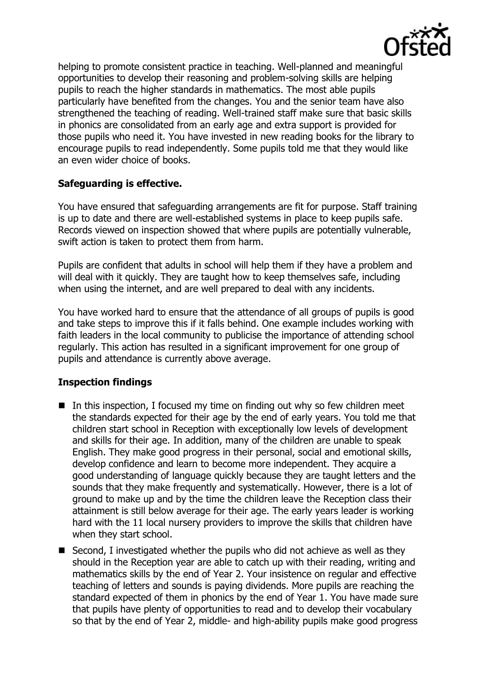

helping to promote consistent practice in teaching. Well-planned and meaningful opportunities to develop their reasoning and problem-solving skills are helping pupils to reach the higher standards in mathematics. The most able pupils particularly have benefited from the changes. You and the senior team have also strengthened the teaching of reading. Well-trained staff make sure that basic skills in phonics are consolidated from an early age and extra support is provided for those pupils who need it. You have invested in new reading books for the library to encourage pupils to read independently. Some pupils told me that they would like an even wider choice of books.

## **Safeguarding is effective.**

You have ensured that safeguarding arrangements are fit for purpose. Staff training is up to date and there are well-established systems in place to keep pupils safe. Records viewed on inspection showed that where pupils are potentially vulnerable, swift action is taken to protect them from harm.

Pupils are confident that adults in school will help them if they have a problem and will deal with it quickly. They are taught how to keep themselves safe, including when using the internet, and are well prepared to deal with any incidents.

You have worked hard to ensure that the attendance of all groups of pupils is good and take steps to improve this if it falls behind. One example includes working with faith leaders in the local community to publicise the importance of attending school regularly. This action has resulted in a significant improvement for one group of pupils and attendance is currently above average.

### **Inspection findings**

- In this inspection, I focused my time on finding out why so few children meet the standards expected for their age by the end of early years. You told me that children start school in Reception with exceptionally low levels of development and skills for their age. In addition, many of the children are unable to speak English. They make good progress in their personal, social and emotional skills, develop confidence and learn to become more independent. They acquire a good understanding of language quickly because they are taught letters and the sounds that they make frequently and systematically. However, there is a lot of ground to make up and by the time the children leave the Reception class their attainment is still below average for their age. The early years leader is working hard with the 11 local nursery providers to improve the skills that children have when they start school.
- Second, I investigated whether the pupils who did not achieve as well as they should in the Reception year are able to catch up with their reading, writing and mathematics skills by the end of Year 2. Your insistence on regular and effective teaching of letters and sounds is paying dividends. More pupils are reaching the standard expected of them in phonics by the end of Year 1. You have made sure that pupils have plenty of opportunities to read and to develop their vocabulary so that by the end of Year 2, middle- and high-ability pupils make good progress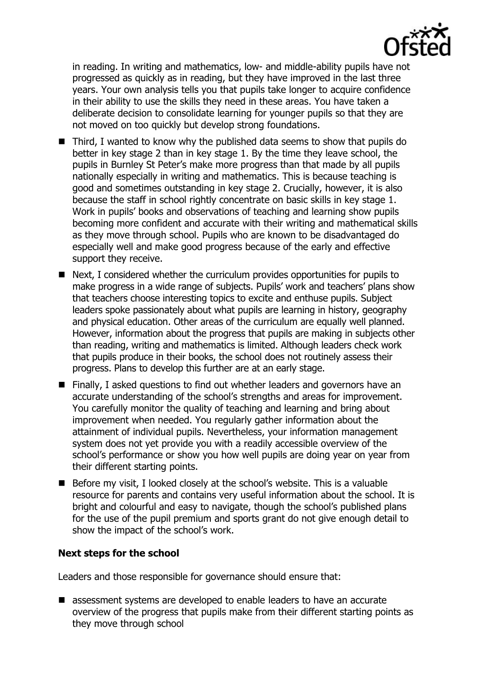

in reading. In writing and mathematics, low- and middle-ability pupils have not progressed as quickly as in reading, but they have improved in the last three years. Your own analysis tells you that pupils take longer to acquire confidence in their ability to use the skills they need in these areas. You have taken a deliberate decision to consolidate learning for younger pupils so that they are not moved on too quickly but develop strong foundations.

- Third, I wanted to know why the published data seems to show that pupils do better in key stage 2 than in key stage 1. By the time they leave school, the pupils in Burnley St Peter's make more progress than that made by all pupils nationally especially in writing and mathematics. This is because teaching is good and sometimes outstanding in key stage 2. Crucially, however, it is also because the staff in school rightly concentrate on basic skills in key stage 1. Work in pupils' books and observations of teaching and learning show pupils becoming more confident and accurate with their writing and mathematical skills as they move through school. Pupils who are known to be disadvantaged do especially well and make good progress because of the early and effective support they receive.
- Next, I considered whether the curriculum provides opportunities for pupils to make progress in a wide range of subjects. Pupils' work and teachers' plans show that teachers choose interesting topics to excite and enthuse pupils. Subject leaders spoke passionately about what pupils are learning in history, geography and physical education. Other areas of the curriculum are equally well planned. However, information about the progress that pupils are making in subjects other than reading, writing and mathematics is limited. Although leaders check work that pupils produce in their books, the school does not routinely assess their progress. Plans to develop this further are at an early stage.
- Finally, I asked questions to find out whether leaders and governors have an accurate understanding of the school's strengths and areas for improvement. You carefully monitor the quality of teaching and learning and bring about improvement when needed. You regularly gather information about the attainment of individual pupils. Nevertheless, your information management system does not yet provide you with a readily accessible overview of the school's performance or show you how well pupils are doing year on year from their different starting points.
- Before my visit, I looked closely at the school's website. This is a valuable resource for parents and contains very useful information about the school. It is bright and colourful and easy to navigate, though the school's published plans for the use of the pupil premium and sports grant do not give enough detail to show the impact of the school's work.

### **Next steps for the school**

Leaders and those responsible for governance should ensure that:

■ assessment systems are developed to enable leaders to have an accurate overview of the progress that pupils make from their different starting points as they move through school